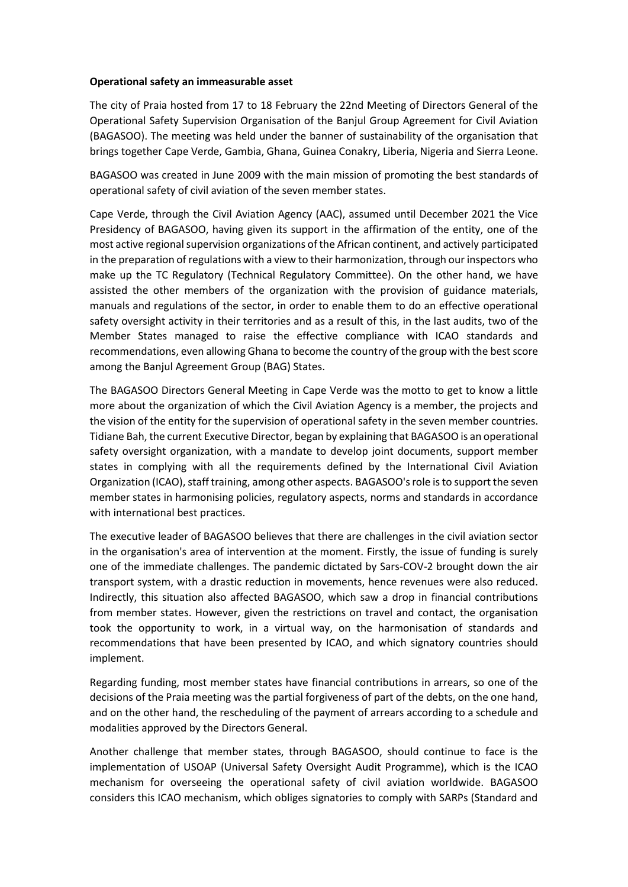## **Operational safety an immeasurable asset**

The city of Praia hosted from 17 to 18 February the 22nd Meeting of Directors General of the Operational Safety Supervision Organisation of the Banjul Group Agreement for Civil Aviation (BAGASOO). The meeting was held under the banner of sustainability of the organisation that brings together Cape Verde, Gambia, Ghana, Guinea Conakry, Liberia, Nigeria and Sierra Leone.

BAGASOO was created in June 2009 with the main mission of promoting the best standards of operational safety of civil aviation of the seven member states.

Cape Verde, through the Civil Aviation Agency (AAC), assumed until December 2021 the Vice Presidency of BAGASOO, having given its support in the affirmation of the entity, one of the most active regional supervision organizations of the African continent, and actively participated in the preparation of regulations with a view to their harmonization, through our inspectors who make up the TC Regulatory (Technical Regulatory Committee). On the other hand, we have assisted the other members of the organization with the provision of guidance materials, manuals and regulations of the sector, in order to enable them to do an effective operational safety oversight activity in their territories and as a result of this, in the last audits, two of the Member States managed to raise the effective compliance with ICAO standards and recommendations, even allowing Ghana to become the country of the group with the best score among the Banjul Agreement Group (BAG) States.

The BAGASOO Directors General Meeting in Cape Verde was the motto to get to know a little more about the organization of which the Civil Aviation Agency is a member, the projects and the vision of the entity for the supervision of operational safety in the seven member countries. Tidiane Bah, the current Executive Director, began by explaining that BAGASOO is an operational safety oversight organization, with a mandate to develop joint documents, support member states in complying with all the requirements defined by the International Civil Aviation Organization (ICAO), staff training, among other aspects. BAGASOO's role is to support the seven member states in harmonising policies, regulatory aspects, norms and standards in accordance with international best practices.

The executive leader of BAGASOO believes that there are challenges in the civil aviation sector in the organisation's area of intervention at the moment. Firstly, the issue of funding is surely one of the immediate challenges. The pandemic dictated by Sars-COV-2 brought down the air transport system, with a drastic reduction in movements, hence revenues were also reduced. Indirectly, this situation also affected BAGASOO, which saw a drop in financial contributions from member states. However, given the restrictions on travel and contact, the organisation took the opportunity to work, in a virtual way, on the harmonisation of standards and recommendations that have been presented by ICAO, and which signatory countries should implement.

Regarding funding, most member states have financial contributions in arrears, so one of the decisions of the Praia meeting was the partial forgiveness of part of the debts, on the one hand, and on the other hand, the rescheduling of the payment of arrears according to a schedule and modalities approved by the Directors General.

Another challenge that member states, through BAGASOO, should continue to face is the implementation of USOAP (Universal Safety Oversight Audit Programme), which is the ICAO mechanism for overseeing the operational safety of civil aviation worldwide. BAGASOO considers this ICAO mechanism, which obliges signatories to comply with SARPs (Standard and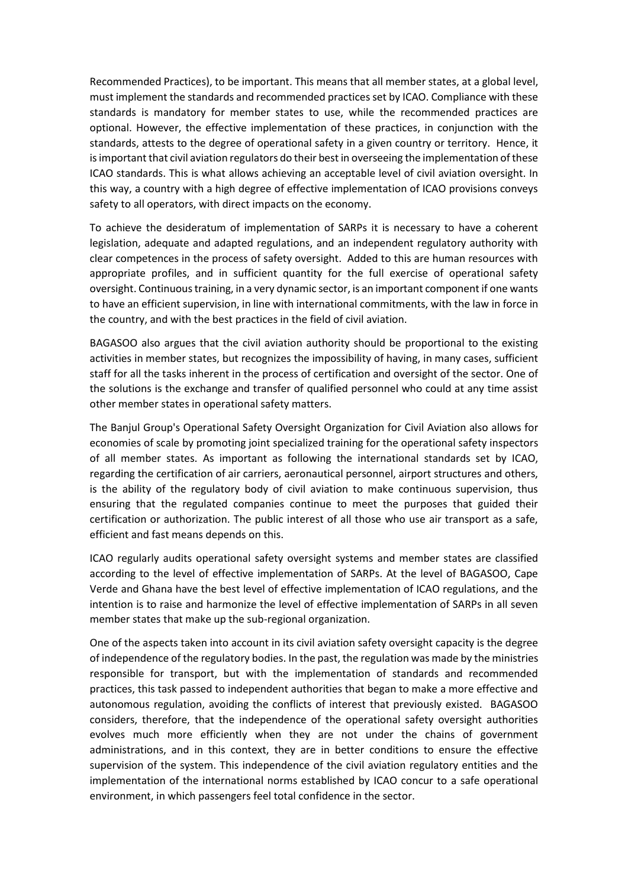Recommended Practices), to be important. This means that all member states, at a global level, must implement the standards and recommended practices set by ICAO. Compliance with these standards is mandatory for member states to use, while the recommended practices are optional. However, the effective implementation of these practices, in conjunction with the standards, attests to the degree of operational safety in a given country or territory. Hence, it is important that civil aviation regulators do their best in overseeing the implementation of these ICAO standards. This is what allows achieving an acceptable level of civil aviation oversight. In this way, a country with a high degree of effective implementation of ICAO provisions conveys safety to all operators, with direct impacts on the economy.

To achieve the desideratum of implementation of SARPs it is necessary to have a coherent legislation, adequate and adapted regulations, and an independent regulatory authority with clear competences in the process of safety oversight. Added to this are human resources with appropriate profiles, and in sufficient quantity for the full exercise of operational safety oversight. Continuous training, in a very dynamic sector, is an important component if one wants to have an efficient supervision, in line with international commitments, with the law in force in the country, and with the best practices in the field of civil aviation.

BAGASOO also argues that the civil aviation authority should be proportional to the existing activities in member states, but recognizes the impossibility of having, in many cases, sufficient staff for all the tasks inherent in the process of certification and oversight of the sector. One of the solutions is the exchange and transfer of qualified personnel who could at any time assist other member states in operational safety matters.

The Banjul Group's Operational Safety Oversight Organization for Civil Aviation also allows for economies of scale by promoting joint specialized training for the operational safety inspectors of all member states. As important as following the international standards set by ICAO, regarding the certification of air carriers, aeronautical personnel, airport structures and others, is the ability of the regulatory body of civil aviation to make continuous supervision, thus ensuring that the regulated companies continue to meet the purposes that guided their certification or authorization. The public interest of all those who use air transport as a safe, efficient and fast means depends on this.

ICAO regularly audits operational safety oversight systems and member states are classified according to the level of effective implementation of SARPs. At the level of BAGASOO, Cape Verde and Ghana have the best level of effective implementation of ICAO regulations, and the intention is to raise and harmonize the level of effective implementation of SARPs in all seven member states that make up the sub-regional organization.

One of the aspects taken into account in its civil aviation safety oversight capacity is the degree of independence of the regulatory bodies. In the past, the regulation was made by the ministries responsible for transport, but with the implementation of standards and recommended practices, this task passed to independent authorities that began to make a more effective and autonomous regulation, avoiding the conflicts of interest that previously existed. BAGASOO considers, therefore, that the independence of the operational safety oversight authorities evolves much more efficiently when they are not under the chains of government administrations, and in this context, they are in better conditions to ensure the effective supervision of the system. This independence of the civil aviation regulatory entities and the implementation of the international norms established by ICAO concur to a safe operational environment, in which passengers feel total confidence in the sector.